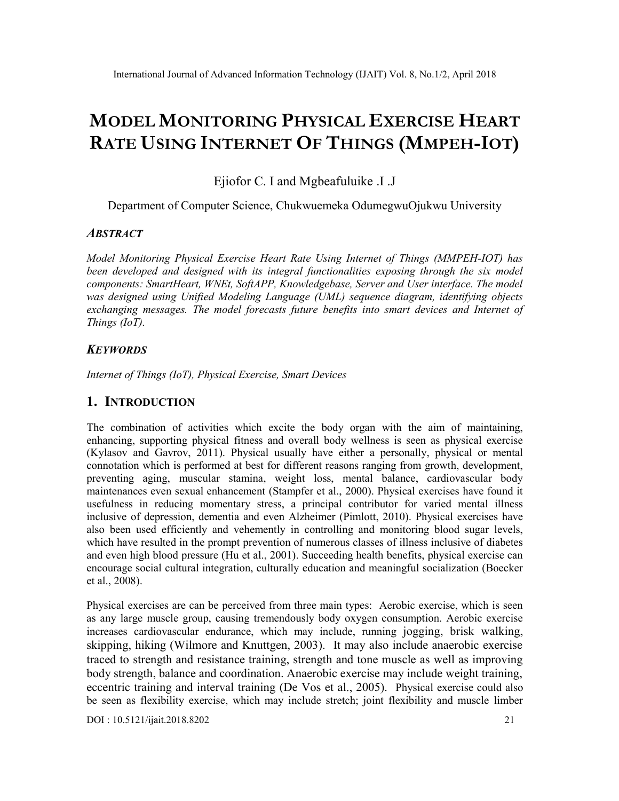# MODEL MONITORING PHYSICAL EXERCISE HEART RATE USING INTERNET OF THINGS (MMPEH-IOT)

Ejiofor C. I and Mgbeafuluike .I .J

Department of Computer Science, Chukwuemeka OdumegwuOjukwu University

## **ABSTRACT**

Model Monitoring Physical Exercise Heart Rate Using Internet of Things (MMPEH-IOT) has been developed and designed with its integral functionalities exposing through the six model components: SmartHeart, WNEt, SoftAPP, Knowledgebase, Server and User interface. The model was designed using Unified Modeling Language (UML) sequence diagram, identifying objects exchanging messages. The model forecasts future benefits into smart devices and Internet of Things (IoT).

## **KEYWORDS**

Internet of Things (IoT), Physical Exercise, Smart Devices

#### 1. INTRODUCTION

The combination of activities which excite the body organ with the aim of maintaining, enhancing, supporting physical fitness and overall body wellness is seen as physical exercise (Kylasov and Gavrov, 2011). Physical usually have either a personally, physical or mental connotation which is performed at best for different reasons ranging from growth, development, preventing aging, muscular stamina, weight loss, mental balance, cardiovascular body maintenances even sexual enhancement (Stampfer et al., 2000). Physical exercises have found it usefulness in reducing momentary stress, a principal contributor for varied mental illness inclusive of depression, dementia and even Alzheimer (Pimlott, 2010). Physical exercises have also been used efficiently and vehemently in controlling and monitoring blood sugar levels, which have resulted in the prompt prevention of numerous classes of illness inclusive of diabetes and even high blood pressure (Hu et al., 2001). Succeeding health benefits, physical exercise can encourage social cultural integration, culturally education and meaningful socialization (Boecker et al., 2008).

Physical exercises are can be perceived from three main types: Aerobic exercise, which is seen as any large muscle group, causing tremendously body oxygen consumption. Aerobic exercise increases cardiovascular endurance, which may include, running jogging, brisk walking, skipping, hiking (Wilmore and Knuttgen, 2003). It may also include anaerobic exercise traced to strength and resistance training, strength and tone muscle as well as improving body strength, balance and coordination. Anaerobic exercise may include weight training, eccentric training and interval training (De Vos et al., 2005). Physical exercise could also be seen as flexibility exercise, which may include stretch; joint flexibility and muscle limber

DOI : 10.5121/ijait.2018.8202 21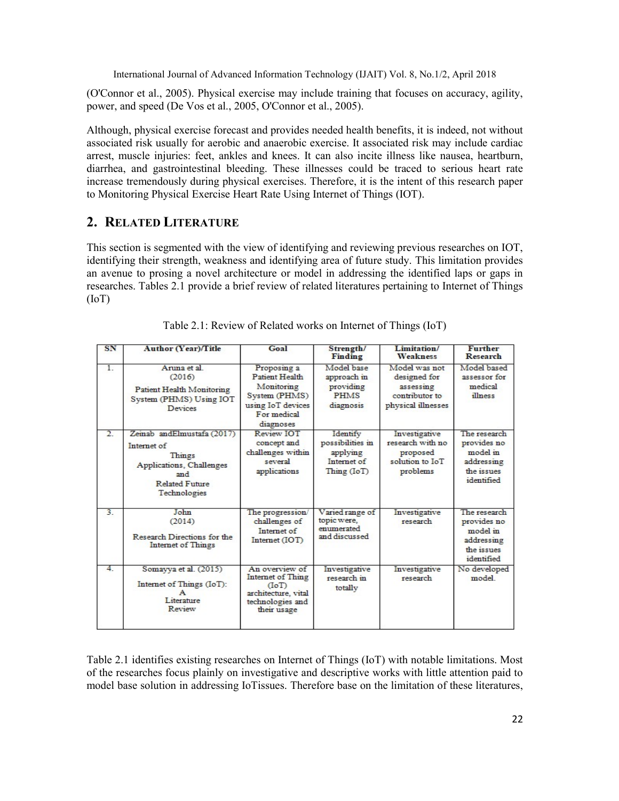(O'Connor et al., 2005). Physical exercise may include training that focuses on accuracy, agility, power, and speed (De Vos et al., 2005, O'Connor et al., 2005).

Although, physical exercise forecast and provides needed health benefits, it is indeed, not without associated risk usually for aerobic and anaerobic exercise. It associated risk may include cardiac arrest, muscle injuries: feet, ankles and knees. It can also incite illness like nausea, heartburn, diarrhea, and gastrointestinal bleeding. These illnesses could be traced to serious heart rate increase tremendously during physical exercises. Therefore, it is the intent of this research paper to Monitoring Physical Exercise Heart Rate Using Internet of Things (IOT).

# 2. RELATED LITERATURE

This section is segmented with the view of identifying and reviewing previous researches on IOT, identifying their strength, weakness and identifying area of future study. This limitation provides an avenue to prosing a novel architecture or model in addressing the identified laps or gaps in researches. Tables 2.1 provide a brief review of related literatures pertaining to Internet of Things (IoT)

| SN             | Author (Year)/Title                                                                                                             | Goal                                                                                                          | Strength/<br>Finding                                                                                                          | Limitation/<br><b>Weakness</b>                                                     | <b>Further</b><br>Research                                                        |
|----------------|---------------------------------------------------------------------------------------------------------------------------------|---------------------------------------------------------------------------------------------------------------|-------------------------------------------------------------------------------------------------------------------------------|------------------------------------------------------------------------------------|-----------------------------------------------------------------------------------|
| 1.             | Anima et al.<br>(2016)<br>Patient Health Monitoring<br>System (PHMS) Using IOT<br><b>Devices</b>                                | Proposing a<br>Patient Health<br>Monitoring<br>System (PHMS)<br>using IoT devices<br>For medical<br>diagnoses | Model base<br>approach in<br>providing<br><b>PHMS</b><br>diagnosis                                                            | Model was not<br>designed for<br>assessing<br>contributor to<br>physical illnesses | Model based<br>assessor for<br>medical<br>illness                                 |
| $\overline{2}$ | Zeinab andElmustafa (2017)<br>Internet of<br>Things<br>Applications, Challenges<br>and<br><b>Related Future</b><br>Technologies | Review <b>IOT</b><br>concept and<br>challenges within<br>several<br>applications                              | Identify<br>possibilities in<br>applying<br>Internet of<br>$\mathop{\mathrm{Thing}}\nolimits(\mathop{\mathrm{IoT}}\nolimits)$ | Investigative<br>research with no<br>proposed<br>solution to IoT<br>problems       | The research<br>provides no<br>model in<br>addressing<br>the issues<br>identified |
| 3.             | John<br>(2014)<br>Research Directions for the<br>Internet of Things                                                             | The progression/<br>challenges of<br>Internet of<br>Internet (IOT)                                            | Varied range of<br>topic were.<br>enumerated<br>and discussed                                                                 | Investigative<br>research                                                          | The research<br>provides no<br>model in<br>addressing<br>the issues<br>identified |
| 4.             | Somayya et al. (2015)<br>Internet of Things (IoT):<br>Literature<br>Review                                                      | An overview of<br>Internet of Thing<br>(IoT)<br>architecture, vital<br>technologies and<br>their usage        | Investigative<br>research in<br>totally                                                                                       | Investigative<br>research                                                          | No developed<br>model                                                             |

|  | Table 2.1: Review of Related works on Internet of Things (IoT) |  |  |
|--|----------------------------------------------------------------|--|--|
|  |                                                                |  |  |

Table 2.1 identifies existing researches on Internet of Things (IoT) with notable limitations. Most of the researches focus plainly on investigative and descriptive works with little attention paid to model base solution in addressing IoTissues. Therefore base on the limitation of these literatures,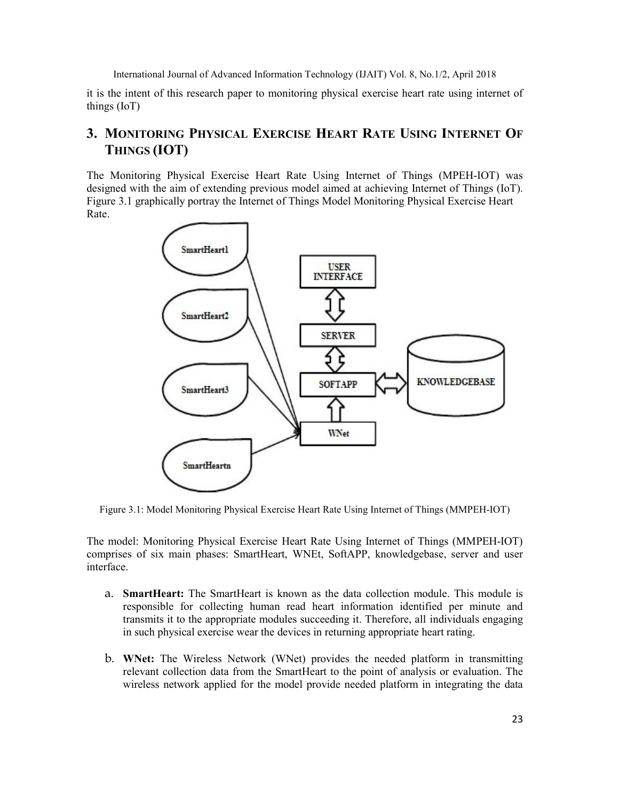it is the intent of this research paper to monitoring physical exercise heart rate using internet of things (IoT)

# 3. MONITORING PHYSICAL EXERCISE HEART RATE USING INTERNET OF THINGS (IOT)

The Monitoring Physical Exercise Heart Rate Using Internet of Things (MPEH-IOT) was designed with the aim of extending previous model aimed at achieving Internet of Things (IoT). Figure 3.1 graphically portray the Internet of Things Model Monitoring Physical Exercise Heart Rate.



Figure 3.1: Model Monitoring Physical Exercise Heart Rate Using Internet of Things (MMPEH-IOT)

The model: Monitoring Physical Exercise Heart Rate Using Internet of Things (MMPEH-IOT) comprises of six main phases: SmartHeart, WNEt, SoftAPP, knowledgebase, server and user interface.

- a. SmartHeart: The SmartHeart is known as the data collection module. This module is responsible for collecting human read heart information identified per minute and transmits it to the appropriate modules succeeding it. Therefore, all individuals engaging in such physical exercise wear the devices in returning appropriate heart rating.
- b. WNet: The Wireless Network (WNet) provides the needed platform in transmitting relevant collection data from the SmartHeart to the point of analysis or evaluation. The wireless network applied for the model provide needed platform in integrating the data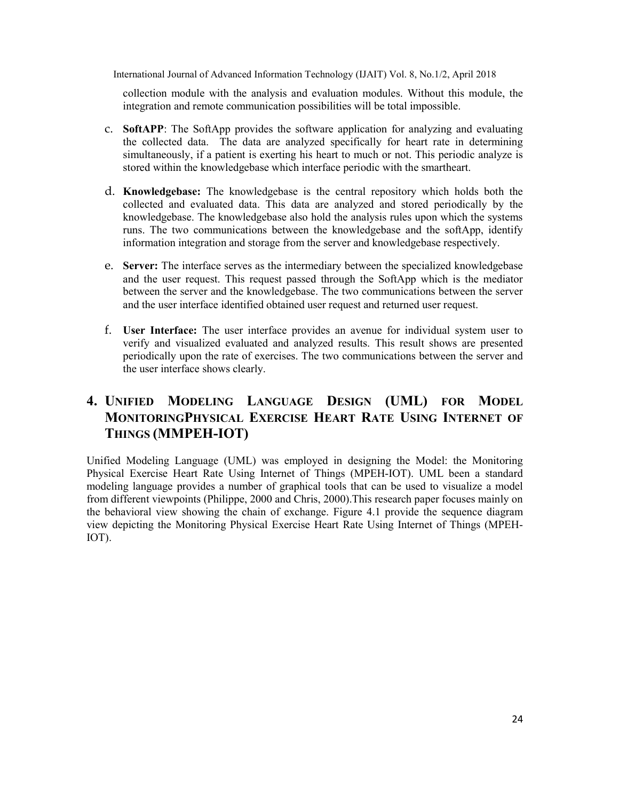collection module with the analysis and evaluation modules. Without this module, the integration and remote communication possibilities will be total impossible.

- c. SoftAPP: The SoftApp provides the software application for analyzing and evaluating the collected data. The data are analyzed specifically for heart rate in determining simultaneously, if a patient is exerting his heart to much or not. This periodic analyze is stored within the knowledgebase which interface periodic with the smartheart.
- d. Knowledgebase: The knowledgebase is the central repository which holds both the collected and evaluated data. This data are analyzed and stored periodically by the knowledgebase. The knowledgebase also hold the analysis rules upon which the systems runs. The two communications between the knowledgebase and the softApp, identify information integration and storage from the server and knowledgebase respectively.
- e. Server: The interface serves as the intermediary between the specialized knowledgebase and the user request. This request passed through the SoftApp which is the mediator between the server and the knowledgebase. The two communications between the server and the user interface identified obtained user request and returned user request.
- f. User Interface: The user interface provides an avenue for individual system user to verify and visualized evaluated and analyzed results. This result shows are presented periodically upon the rate of exercises. The two communications between the server and the user interface shows clearly.

# 4. UNIFIED MODELING LANGUAGE DESIGN (UML) FOR MODEL MONITORINGPHYSICAL EXERCISE HEART RATE USING INTERNET OF THINGS (MMPEH-IOT)

Unified Modeling Language (UML) was employed in designing the Model: the Monitoring Physical Exercise Heart Rate Using Internet of Things (MPEH-IOT). UML been a standard modeling language provides a number of graphical tools that can be used to visualize a model from different viewpoints (Philippe, 2000 and Chris, 2000).This research paper focuses mainly on the behavioral view showing the chain of exchange. Figure 4.1 provide the sequence diagram view depicting the Monitoring Physical Exercise Heart Rate Using Internet of Things (MPEH-IOT).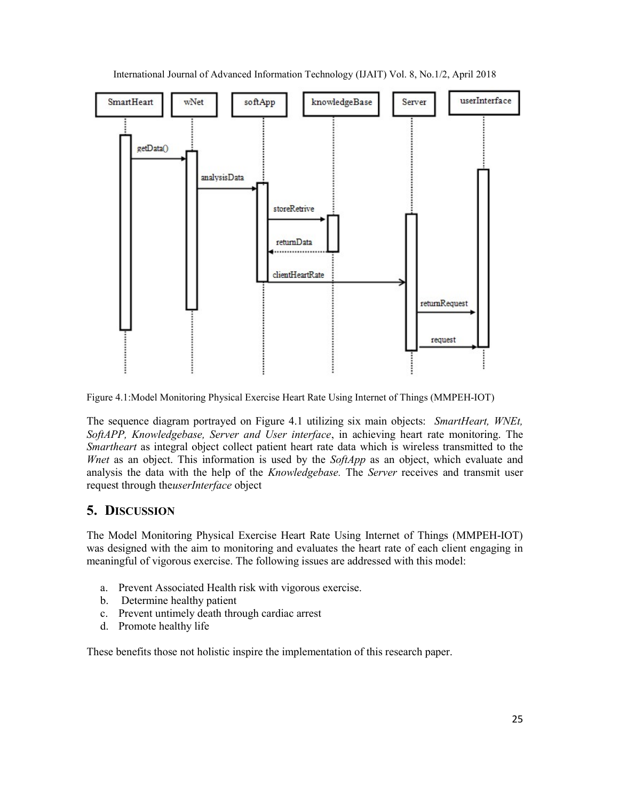

International Journal of Advanced Information Technology (IJAIT) Vol. 8, No.1/2, April 2018

Figure 4.1:Model Monitoring Physical Exercise Heart Rate Using Internet of Things (MMPEH-IOT)

The sequence diagram portrayed on Figure 4.1 utilizing six main objects: *SmartHeart, WNEt,* SoftAPP, Knowledgebase, Server and User interface, in achieving heart rate monitoring. The Smartheart as integral object collect patient heart rate data which is wireless transmitted to the Whet as an object. This information is used by the SoftApp as an object, which evaluate and analysis the data with the help of the *Knowledgebase*. The *Server* receives and transmit user request through theuserInterface object

# 5. DISCUSSION

The Model Monitoring Physical Exercise Heart Rate Using Internet of Things (MMPEH-IOT) was designed with the aim to monitoring and evaluates the heart rate of each client engaging in meaningful of vigorous exercise. The following issues are addressed with this model:

- a. Prevent Associated Health risk with vigorous exercise.
- b. Determine healthy patient
- c. Prevent untimely death through cardiac arrest
- d. Promote healthy life

These benefits those not holistic inspire the implementation of this research paper.